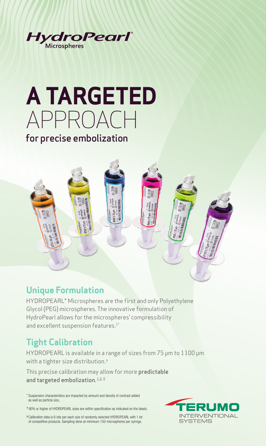

# **A TARGETED**  APPROACH for precise embolization

## **Unique Formulation**

HYDROPEARL® Microspheres are the first and only Polyethylene Glycol (PEG) microspheres. The innovative formulation of HydroPearl allows for the microspheres' compressibility and excellent suspension features.<sup>1\*</sup>

## **Tight Calibration**

HYDROPEARL is available in a range of sizes from 75 μm to 1100 μm with a tighter size distribution.†

This precise calibration may allow for more predictable and targeted embolization.<sup>1,2, #</sup>

\* Suspension characteristics are impacted by amount and density of contrast added as well as particle size..

† 90% or higher of HYDROPEARL sizes are within specification as indicated on the labels.

‡ Calibration data is 6 lots per each size of randomly selected HYDROPEARL with 1 lot of competitive products. Sampling done at minimum 150 microspheres per syringe.